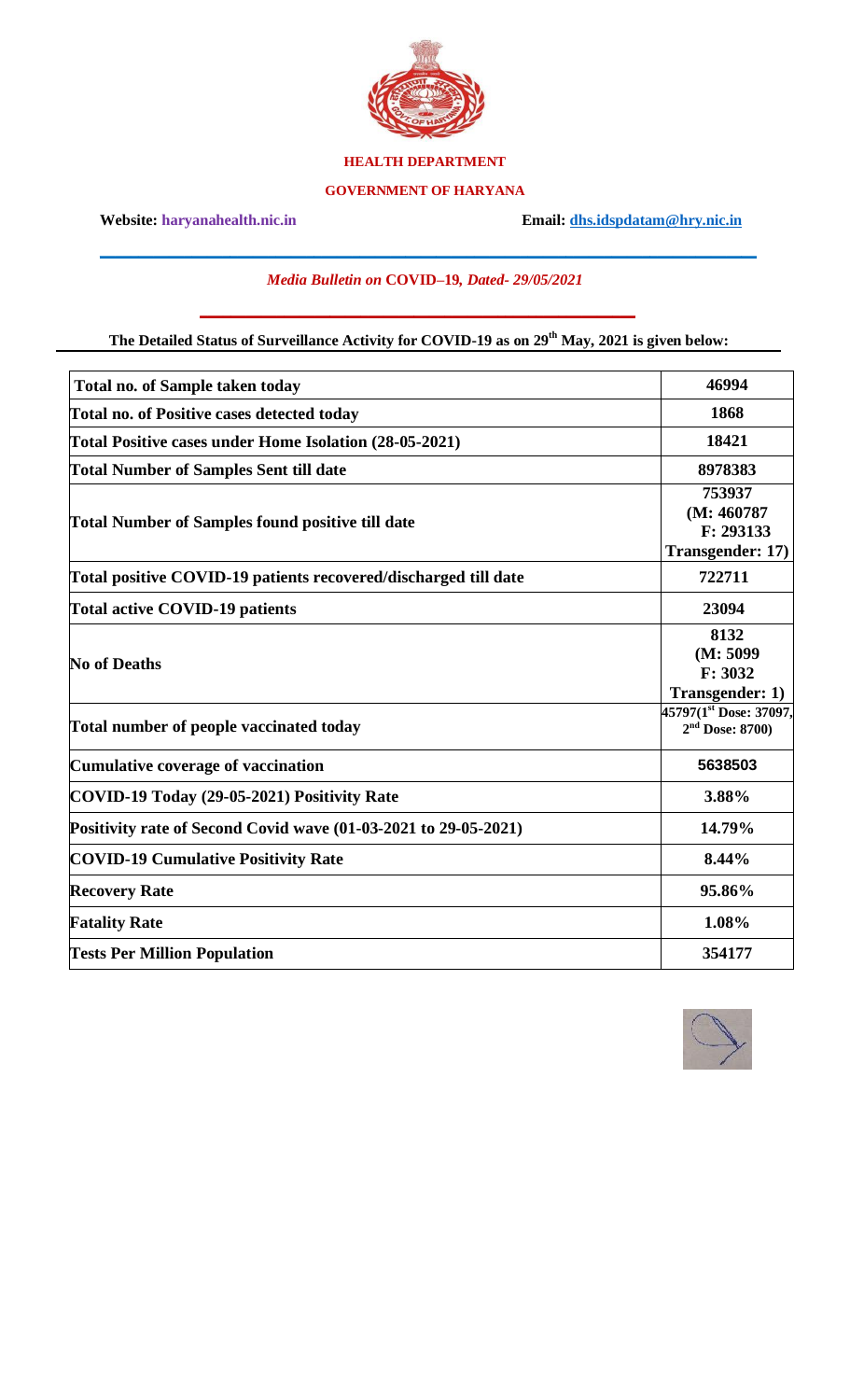

### **HEALTH DEPARTMENT**

#### **GOVERNMENT OF HARYANA**

**Website: haryanahealth.nic.in Email: [dhs.idspdatam@hry.nic.in](mailto:dhs.idspdatam@hry.nic.in)**

## *Media Bulletin on* **COVID–19***, Dated- 29/05/2021*

\_\_\_\_\_\_\_\_\_\_\_\_\_\_\_\_\_\_\_\_\_\_\_\_\_\_\_\_\_\_\_\_\_\_\_\_\_\_\_\_\_\_\_\_\_\_\_\_\_\_\_\_\_\_\_\_\_\_\_\_\_\_\_\_\_\_\_\_\_\_\_\_\_\_\_\_\_\_\_\_\_\_\_\_\_\_

#### **The Detailed Status of Surveillance Activity for COVID-19 as on 29 th May, 2021 is given below:**

 $\mathcal{L}_\text{max}$  and  $\mathcal{L}_\text{max}$  and  $\mathcal{L}_\text{max}$  and  $\mathcal{L}_\text{max}$  and  $\mathcal{L}_\text{max}$ 

| <b>Total no. of Sample taken today</b>                          | 46994                                                 |
|-----------------------------------------------------------------|-------------------------------------------------------|
| <b>Total no. of Positive cases detected today</b>               | 1868                                                  |
| Total Positive cases under Home Isolation (28-05-2021)          | 18421                                                 |
| <b>Total Number of Samples Sent till date</b>                   | 8978383                                               |
| <b>Total Number of Samples found positive till date</b>         | 753937<br>(M: 460787<br>F: 293133<br>Transgender: 17) |
| Total positive COVID-19 patients recovered/discharged till date | 722711                                                |
| Total active COVID-19 patients                                  | 23094                                                 |
| <b>No of Deaths</b>                                             | 8132<br>(M: 5099)<br>F: 3032<br>Transgender: 1)       |
| Total number of people vaccinated today                         | 45797(1st Dose: 37097,<br>$2nd$ Dose: 8700)           |
| Cumulative coverage of vaccination                              | 5638503                                               |
| COVID-19 Today (29-05-2021) Positivity Rate                     | 3.88%                                                 |
| Positivity rate of Second Covid wave (01-03-2021 to 29-05-2021) | 14.79%                                                |
| <b>COVID-19 Cumulative Positivity Rate</b>                      | 8.44%                                                 |
| <b>Recovery Rate</b>                                            | 95.86%                                                |
| <b>Fatality Rate</b>                                            | 1.08%                                                 |
| <b>Tests Per Million Population</b>                             | 354177                                                |

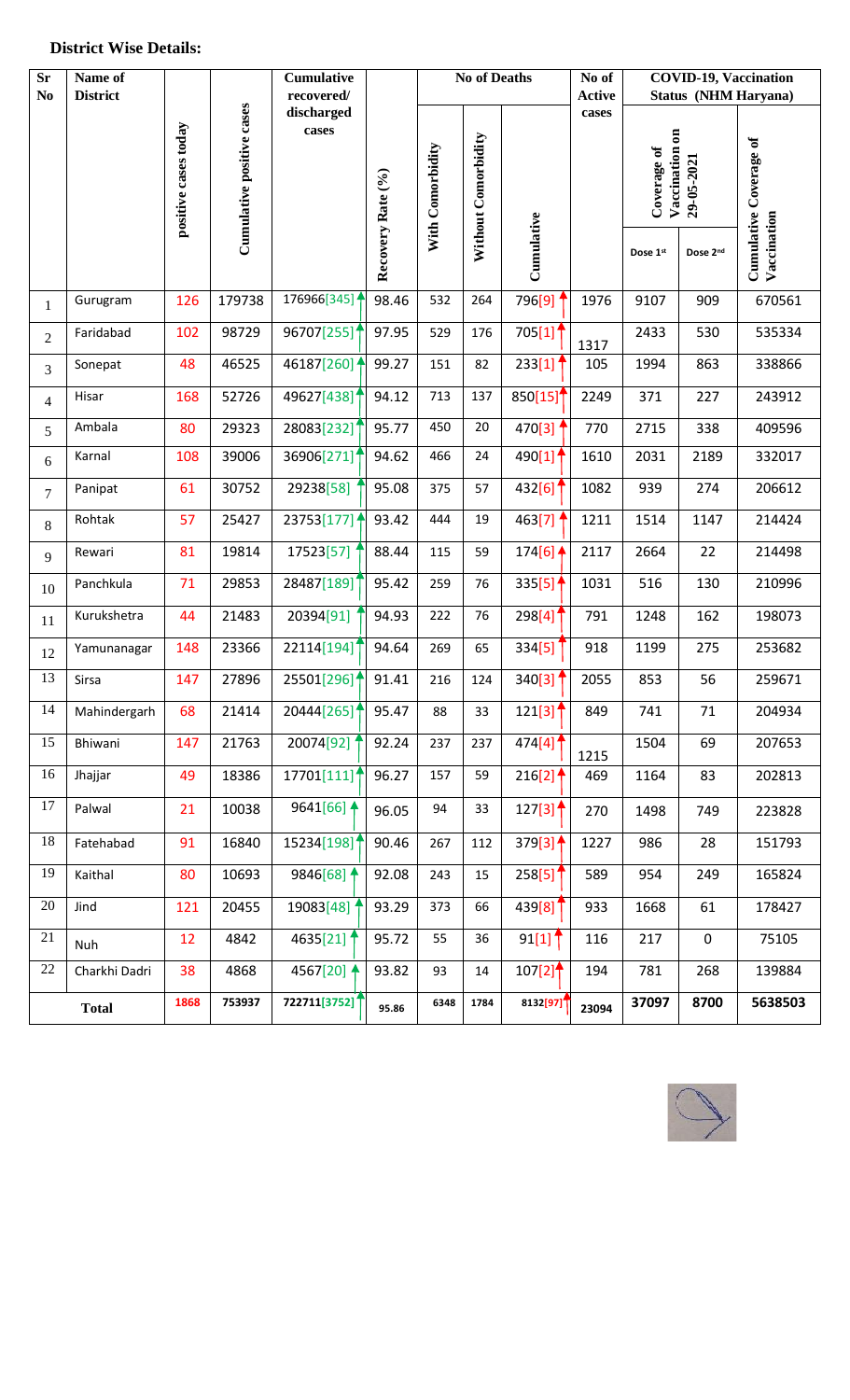#### **District Wise Details:**

| $S_{r}$<br>$\bf No$ | Name of<br><b>District</b> |                      |                           | Cumulative<br>recovered/ | <b>No of Deaths</b> |                  |                     | No of<br><b>Active</b>                    | <b>COVID-19, Vaccination</b><br><b>Status (NHM Haryana)</b> |                                             |             |                               |
|---------------------|----------------------------|----------------------|---------------------------|--------------------------|---------------------|------------------|---------------------|-------------------------------------------|-------------------------------------------------------------|---------------------------------------------|-------------|-------------------------------|
|                     |                            | positive cases today | Cumulative positive cases | discharged<br>cases      | Recovery Rate (%)   | With Comorbidity | Without Comorbidity |                                           | cases                                                       | Vaccination on<br>Coverage of<br>29-05-2021 |             | <b>Cumulative Coverage of</b> |
|                     |                            |                      |                           |                          |                     |                  |                     | Cumulative                                |                                                             | Dose 1st                                    | Dose 2nd    | Vaccination                   |
| 1                   | Gurugram                   | 126                  | 179738                    | 176966[345]              | 98.46               | 532              | 264                 | 796[9]                                    | 1976                                                        | 9107                                        | 909         | 670561                        |
| $\overline{2}$      | Faridabad                  | 102                  | 98729                     | 96707[255]               | 97.95               | 529              | 176                 | 705[1]                                    | 1317                                                        | 2433                                        | 530         | 535334                        |
| 3                   | Sonepat                    | 48                   | 46525                     | 46187[260] $\uparrow$    | 99.27               | 151              | 82                  | 233[1]                                    | 105                                                         | 1994                                        | 863         | 338866                        |
| 4                   | Hisar                      | 168                  | 52726                     | 49627[438]               | 94.12               | 713              | 137                 | 850[15]                                   | 2249                                                        | 371                                         | 227         | 243912                        |
| 5                   | Ambala                     | 80                   | 29323                     | 28083[232]               | 95.77               | 450              | 20                  | 470[3]                                    | 770                                                         | 2715                                        | 338         | 409596                        |
| 6                   | Karnal                     | 108                  | 39006                     | 36906[271]               | 94.62               | 466              | 24                  | 490[1]                                    | 1610                                                        | 2031                                        | 2189        | 332017                        |
| $\overline{7}$      | Panipat                    | 61                   | 30752                     | 29238[58]                | 95.08               | 375              | 57                  | 432[6]                                    | 1082                                                        | 939                                         | 274         | 206612                        |
| 8                   | Rohtak                     | 57                   | 25427                     | 23753[177] $\uparrow$    | 93.42               | 444              | 19                  | 463[7]                                    | 1211                                                        | 1514                                        | 1147        | 214424                        |
| 9                   | Rewari                     | 81                   | 19814                     | 17523[57]                | 88.44               | 115              | 59                  | 174[6] $\triangleq$                       | 2117                                                        | 2664                                        | 22          | 214498                        |
| 10                  | Panchkula                  | 71                   | 29853                     | 28487[189]               | 95.42               | 259              | 76                  | 335[5]                                    | 1031                                                        | 516                                         | 130         | 210996                        |
| 11                  | Kurukshetra                | 44                   | 21483                     | 20394[91]                | 94.93               | 222              | 76                  | 298[4]                                    | 791                                                         | 1248                                        | 162         | 198073                        |
| 12                  | Yamunanagar                | 148                  | 23366                     | 22114[194]               | 94.64               | 269              | 65                  | 334[5]                                    | 918                                                         | 1199                                        | 275         | 253682                        |
| 13                  | Sirsa                      | 147                  | 27896                     | 25501[296] 1             | 91.41               | 216              | 124                 | 340[3]                                    | 2055                                                        | 853                                         | 56          | 259671                        |
| 14                  | Mahindergarh               | 68                   | 21414                     | 20444[265]               | 95.47               | 88               | 33                  | 121[3]                                    | 849                                                         | 741                                         | 71          | 204934                        |
| 15                  | Bhiwani                    | 147                  | 21763                     | 20074[92]                | 92.24               | 237              | 237                 | 474[4] $\uparrow$                         | 1215                                                        | 1504                                        | 69          | 207653                        |
| 16                  | Jhajjar                    | 49                   | 18386                     | 17701[111]'              | 96.27               | 157              | 59                  | $216[2]$ <sup>4</sup>                     | 469                                                         | 1164                                        | 83          | 202813                        |
| 17                  | Palwal                     | 21                   | 10038                     | 9641[66] $\triangleq$    | 96.05               | 94               | 33                  | $127[3]$ <sup>4</sup>                     | 270                                                         | 1498                                        | 749         | 223828                        |
| 18                  | Fatehabad                  | 91                   | 16840                     | 15234[198]               | 90.46               | 267              | 112                 | 379[3]                                    | 1227                                                        | 986                                         | 28          | 151793                        |
| 19                  | Kaithal                    | 80                   | 10693                     | 9846[68] $\uparrow$      | 92.08               | 243              | 15                  | 258[5]                                    | 589                                                         | 954                                         | 249         | 165824                        |
| 20                  | Jind                       | 121                  | 20455                     | 19083[48]                | 93.29               | 373              | 66                  | 439[8]                                    | 933                                                         | 1668                                        | 61          | 178427                        |
| 21                  | <b>Nuh</b>                 | 12                   | 4842                      | 4635[21]                 | 95.72               | 55               | 36                  | $91[1]$ <sup>1</sup>                      | 116                                                         | 217                                         | $\mathsf 0$ | 75105                         |
| 22                  | Charkhi Dadri              | 38                   | 4868                      | 4567[20] $\triangleq$    | 93.82               | 93               | 14                  | $107[2]$ <sup><math>\uparrow</math></sup> | 194                                                         | 781                                         | 268         | 139884                        |
|                     | <b>Total</b>               | 1868                 | 753937                    | 722711[3752]             | 95.86               | 6348             | 1784                | 8132[97]                                  | 23094                                                       | 37097                                       | 8700        | 5638503                       |

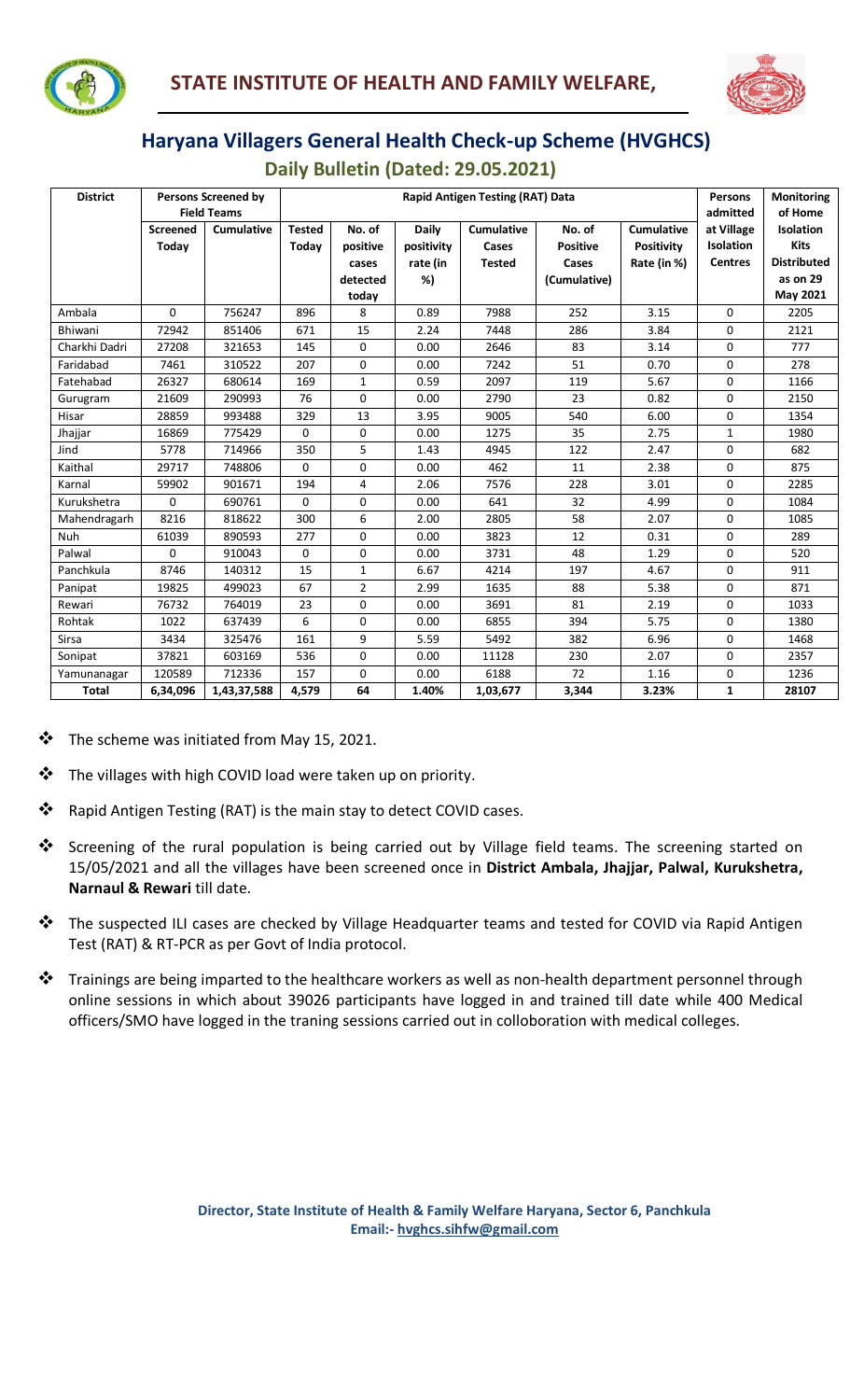



# **Haryana Villagers General Health Check-up Scheme (HVGHCS)**

 **Daily Bulletin (Dated: 29.05.2021)**

| <b>District</b><br><b>Persons Screened by</b> |                    |                   | <b>Rapid Antigen Testing (RAT) Data</b> |                |              |                   |                 |                   |                  | <b>Monitoring</b>  |
|-----------------------------------------------|--------------------|-------------------|-----------------------------------------|----------------|--------------|-------------------|-----------------|-------------------|------------------|--------------------|
|                                               | <b>Field Teams</b> |                   |                                         |                |              |                   |                 |                   |                  | of Home            |
|                                               | <b>Screened</b>    | <b>Cumulative</b> | <b>Tested</b>                           | No. of         | <b>Daily</b> | <b>Cumulative</b> | No. of          | <b>Cumulative</b> | at Village       | <b>Isolation</b>   |
|                                               | Today              |                   | Today                                   | positive       | positivity   | Cases             | <b>Positive</b> | <b>Positivity</b> | <b>Isolation</b> | <b>Kits</b>        |
|                                               |                    |                   |                                         | cases          | rate (in     | <b>Tested</b>     | Cases           | Rate (in %)       | <b>Centres</b>   | <b>Distributed</b> |
|                                               |                    |                   |                                         | detected       | %)           |                   | (Cumulative)    |                   |                  | as on 29           |
|                                               |                    |                   |                                         | today          |              |                   |                 |                   |                  | May 2021           |
| Ambala                                        | $\Omega$           | 756247            | 896                                     | 8              | 0.89         | 7988              | 252             | 3.15              | $\Omega$         | 2205               |
| Bhiwani                                       | 72942              | 851406            | 671                                     | 15             | 2.24         | 7448              | 286             | 3.84              | 0                | 2121               |
| Charkhi Dadri                                 | 27208              | 321653            | 145                                     | $\Omega$       | 0.00         | 2646              | 83              | 3.14              | $\Omega$         | 777                |
| Faridabad                                     | 7461               | 310522            | 207                                     | 0              | 0.00         | 7242              | 51              | 0.70              | 0                | 278                |
| Fatehabad                                     | 26327              | 680614            | 169                                     | $\mathbf{1}$   | 0.59         | 2097              | 119             | 5.67              | $\Omega$         | 1166               |
| Gurugram                                      | 21609              | 290993            | 76                                      | 0              | 0.00         | 2790              | 23              | 0.82              | 0                | 2150               |
| Hisar                                         | 28859              | 993488            | 329                                     | 13             | 3.95         | 9005              | 540             | 6.00              | 0                | 1354               |
| Jhajjar                                       | 16869              | 775429            | 0                                       | 0              | 0.00         | 1275              | 35              | 2.75              | $\mathbf{1}$     | 1980               |
| Jind                                          | 5778               | 714966            | 350                                     | 5              | 1.43         | 4945              | 122             | 2.47              | $\Omega$         | 682                |
| Kaithal                                       | 29717              | 748806            | 0                                       | 0              | 0.00         | 462               | 11              | 2.38              | 0                | 875                |
| Karnal                                        | 59902              | 901671            | 194                                     | 4              | 2.06         | 7576              | 228             | 3.01              | 0                | 2285               |
| Kurukshetra                                   | 0                  | 690761            | 0                                       | 0              | 0.00         | 641               | 32              | 4.99              | 0                | 1084               |
| Mahendragarh                                  | 8216               | 818622            | 300                                     | 6              | 2.00         | 2805              | 58              | 2.07              | $\Omega$         | 1085               |
| <b>Nuh</b>                                    | 61039              | 890593            | 277                                     | $\Omega$       | 0.00         | 3823              | 12              | 0.31              | 0                | 289                |
| Palwal                                        | $\Omega$           | 910043            | 0                                       | 0              | 0.00         | 3731              | 48              | 1.29              | $\Omega$         | 520                |
| Panchkula                                     | 8746               | 140312            | 15                                      | 1              | 6.67         | 4214              | 197             | 4.67              | 0                | 911                |
| Panipat                                       | 19825              | 499023            | 67                                      | $\overline{2}$ | 2.99         | 1635              | 88              | 5.38              | $\Omega$         | 871                |
| Rewari                                        | 76732              | 764019            | 23                                      | 0              | 0.00         | 3691              | 81              | 2.19              | 0                | 1033               |
| Rohtak                                        | 1022               | 637439            | 6                                       | 0              | 0.00         | 6855              | 394             | 5.75              | 0                | 1380               |
| Sirsa                                         | 3434               | 325476            | 161                                     | 9              | 5.59         | 5492              | 382             | 6.96              | 0                | 1468               |
| Sonipat                                       | 37821              | 603169            | 536                                     | 0              | 0.00         | 11128             | 230             | 2.07              | $\Omega$         | 2357               |
| Yamunanagar                                   | 120589             | 712336            | 157                                     | $\Omega$       | 0.00         | 6188              | 72              | 1.16              | 0                | 1236               |
| Total                                         | 6,34,096           | 1,43,37,588       | 4,579                                   | 64             | 1.40%        | 1,03,677          | 3,344           | 3.23%             | $\mathbf{1}$     | 28107              |

❖ The scheme was initiated from May 15, 2021.

**Harry Communication** 

- ❖ The villages with high COVID load were taken up on priority.
- ❖ Rapid Antigen Testing (RAT) is the main stay to detect COVID cases.
- ❖ Screening of the rural population is being carried out by Village field teams. The screening started on 15/05/2021 and all the villages have been screened once in **District Ambala, Jhajjar, Palwal, Kurukshetra, Narnaul & Rewari** till date.
- ❖ The suspected ILI cases are checked by Village Headquarter teams and tested for COVID via Rapid Antigen Test (RAT) & RT-PCR as per Govt of India protocol.
- ❖ Trainings are being imparted to the healthcare workers as well as non-health department personnel through online sessions in which about 39026 participants have logged in and trained till date while 400 Medical officers/SMO have logged in the traning sessions carried out in colloboration with medical colleges.